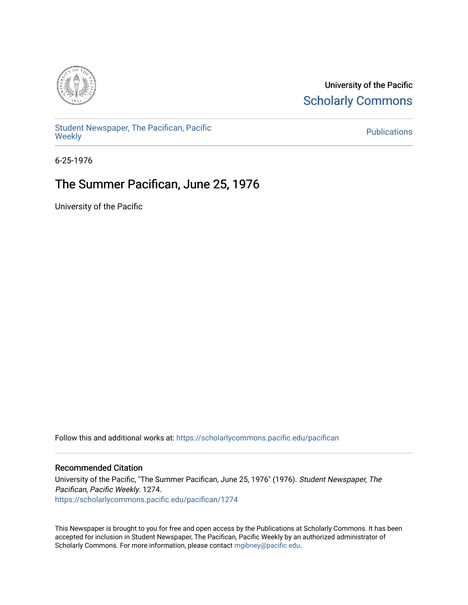

University of the Pacific **Scholarly Commons** 

[Student Newspaper, The Pacifican, Pacific](https://scholarlycommons.pacific.edu/pacifican)  [Weekly](https://scholarlycommons.pacific.edu/pacifican) [Publications](https://scholarlycommons.pacific.edu/publications) 

6-25-1976

# The Summer Pacifican, June 25, 1976

University of the Pacific

Follow this and additional works at: [https://scholarlycommons.pacific.edu/pacifican](https://scholarlycommons.pacific.edu/pacifican?utm_source=scholarlycommons.pacific.edu%2Fpacifican%2F1274&utm_medium=PDF&utm_campaign=PDFCoverPages) 

### Recommended Citation

University of the Pacific, "The Summer Pacifican, June 25, 1976" (1976). Student Newspaper, The Pacifican, Pacific Weekly. 1274. [https://scholarlycommons.pacific.edu/pacifican/1274](https://scholarlycommons.pacific.edu/pacifican/1274?utm_source=scholarlycommons.pacific.edu%2Fpacifican%2F1274&utm_medium=PDF&utm_campaign=PDFCoverPages) 

This Newspaper is brought to you for free and open access by the Publications at Scholarly Commons. It has been accepted for inclusion in Student Newspaper, The Pacifican, Pacific Weekly by an authorized administrator of Scholarly Commons. For more information, please contact [mgibney@pacific.edu.](mailto:mgibney@pacific.edu)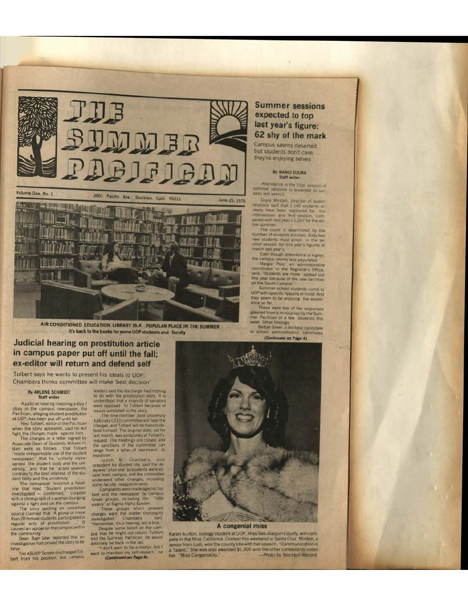

**PUBLICATION** 

AIR-CONDITIONED EDUCATION LIBRARY IS A POPULAR PLACE IN THE SUMMER It's back to the books for some UOP students and faculty

## Judicial hearing on prostitution article in campus paper put off until the fall; ex-editor will return and defend self

Tolbert says he wants to present his ideals to UOP; Chambers thinks committee will make 'best decision'

#### By ARLENE SCHMIDT **Staff writer**

A judicial hearing involving a May 7 stay in the campus newspaper, the<br>stay in the campus newspaper, the<br>Pacifican, aligging student prostitution<br>at UOP, has been put of the Pacifican<br>Med Tolbert, editor of the Pacifican<br>when the story appeared, said he will

West the charges made against him.<br>The charges in a letter signed by<br>Associate Dean of Students William H.<br>Barr were as follows that Tolbert Barr were as follows: that follower<br>"made irresponsible use of the student<br>newspaper," that he "untarity repre-<br>sented the student body and the uni-<br>versity," and that he "acted severely<br>contrary to the best interest of th

dent body and the university."<br>The newspaper leading the districted a head-<br>time that read "Student prostitution<br>investigated — contirmed," coupled<br>with a photograph of a worman longing<br>against a light post on the campus.<br>

than 20 female students participated in caused an uproar on the campus and in

the community.<br>Dean Barr later reported that an<br>investigation had proved the story to be

talse.<br>The ASUOP Senate discharged Tolbert from his position, but campus

leaders said the discharge had nothing<br>to do with the prostitution stery. It is<br>understood that a majority of senators<br>were opposed to Tolbert because of<br>susces unrelated to the story.<br>The nine member Joint University<br>Judi

charges, and Tolbert will be there to de-<br>tend timeself. The original date, set for<br>thast month, was postponed at Tolbert sequest. The meetings are closed, and<br>the sametimes of the committee, can<br>range from a letter of rep expulsion

range from a letter of reprimand to explosion.<br>
Supplision. I add the designation is the designation of the said the designation of station and the committee and the committee some factor of the committee of the station o

## **Summer sessions** expected to top last year's figure; 62 shy of the mark

Campus seems deserted. but students don't care: they're enjoying selves

#### By NANCI DZURA Staff writer

Attendance in the 51st session of<br>summer sessions is expected to sur-<br>pitss last years's.

Doyle Minden, therefore of public relations said that L145 students at ready have been registered for the instance of public interaction, constant with last year's 1,202 for the entire summer.

The count is determined by the<br>number of students enrolled Sixty-two<br>new students must enroll in the se-<br>cond session for this year's tigures to

cond session for this year's tigures to<br>match last year's tigures to<br>match last years from though attendance is higher,<br>the campos seems less populated.<br>Coordinater in the Registrar's Office,<br>said, Students are more spread

they seem to be enjoying the expen-

they seem to be enjoying the experiments of the responses<br>These were two of the responses<br>gleaned from a ministervey by the Summer Pacifican of a few students this

week. Other findings.<br>Bettye Greek, a doctoral candidate<br>In school administration, commutes (Continued on Page 4)



#### A congenial miss

Karen Marton, biology student at UOP, Miss San Joaquin County, will complete in the Miss California. Contest this weekend in Santa Cruz. Minton, a senior from Lodi, won the county title with her speech, "Communication is<br>a Talent." She was also awarded \$1,000 and the other contestants voted "Miss Congeniality. -Photo by Stockton Record her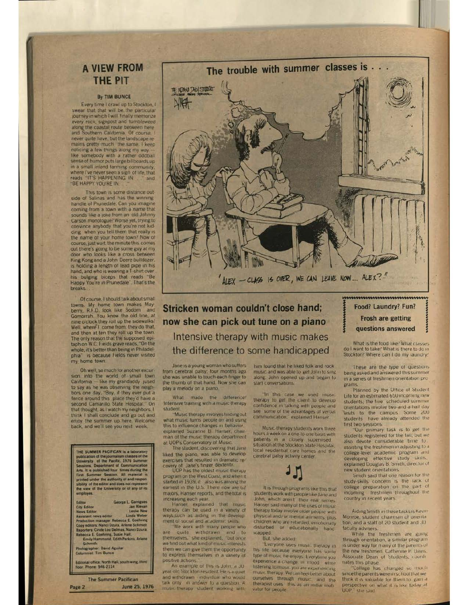# **A VIEW FROM THE PIT**

#### By TIM BUNCE

Every time I crawl up to Stockton, I swear that that will be the particular<br>journey in which I will finally memorize every rock, signpost and tumbleweed along the coastal route between here and Southern California. Of course, I never quite have, but the landscape remains pretty much the same. I keep noticing a few things along my way like somebody with a rather oddball sense of humor puts large billboards up in a small inland farming community, BE HAPPY YOU'RE IN

This town is some distance outside of Salinas and has the winning handle of Prunedale. Can you imagine coming from a town with a name that sounds like a joke from an old Johnny<br>Carson monologue? Worse yet, trying to convince anybody that you're not kidding when you tell them that really is the name of your home town? Now of course, just wait, the minute this comes out there's going to be some guy at my door who looks like a cross between King Kong and a John Deere bulldozer. is holding a length of lead pipe in his hand, and who is wearing a T-shirt over his bulging biceps that reads "Be Happy You're in Prunedale". That's the

Of course, I should talk about small towns. My home town makes May-<br>berry, R.F.D. look like Sodom and Gomorrah. You know the old line, at nine o'clock they roll up the sidewalks? Well, where I come from, they do that, and then at ten they roll up the town.<br>The only reason that the supposed epitaph on W.C. Fields grave reads, "On the whole, it's better than being in Philadel is because Fields never visited phia<sup>'</sup> my home town.

Oh well, so much for another excursion into the world of small town California - like my grandaddy jused to say as he was observing the neighbors one day, "Boy, if they ever put a<br>fence around this place they d have a<br>second Camarillo State Hospital." On that thought, as I watch my neighbors, I think I shall conclude and go out and enjoy the summer up here. Welcome back, and we'll see you next week.

THE SUMMER PACIFICAN is a laboratory publication of the journalism classes of the pacific, 1976 Summer University of the Pacific, 1976 Summer Sessions, Department of Communication Arts, II is politically first Summer Sess THE SUMMER PACIFICAN Is a laborat

orge L. Garrigues<br>Jan Kievan<br>Leslie New<br>Linda Weber City Ed nws Edito<br>cristant n news editor<br>ons Nanci Dzura, Arlene Schmidt<br>ons Nanci Dzura, Arlene Schmidt<br>- Cinde Lou Delmas, Nanci Dzura,<br>E. Goehring, Susie Hall,<br>- Hammond, Edith Perkins, Arlene

**IL David Aguilar** 

itorial office: North Hall, south wing, third<br>or. Phone: 946-2114

**The Summer Pacifican** Page 2 June 25, 1976



Stricken woman couldn't close hand; now she can pick out tune on a piano Intensive therapy with music makes the difference to some handicapped

Jane is a young woman who suffers from cerebral palsy, four months ago. she was unable to touch each finger to the thumb of that hand. Now she can play a melody on a plano

What made the difference! Intensive training with a music therapy student

'Music therapy involves finding out what music turns people on and using this to influence changes in behavior explained Suzanne B. Hanser, chair man of the music therapy department<br>at UOP's Conservatory of Music.

The student, discovering that Jane liked the piano, was able to develop exercises that resulted in dramatic recovery of Jane's finger dextenty.<br>UOP has the oldest music therapy

program on the West Coast, and when it started in 1939, it also was among the<br>earliest in the U.S. There now are 62 majors, Hanser reports, and the total is increasing each year.

Hanser explained that music<br>therapy can be used in a variety of ways, such as aiding in the development of social and academic skills.

We work with many people who are quite withdrawn and to<br>themselves, she explained, "but once we find out what kind of music interests them we can give them the opportunity to express themselves in a variety of positive actions

An example of this is John, a 30 year-old Stockton resident. He is a quiet. and withdrawn - individual who would<br>talk only - in answer to a question. A music therapy student working with him found that he liked tolk and rock music and was able to get John to sing along. John opened up and began to start conversations

"In this case we used music<br>therapy to get the client to develop confidence in talking with people and see some of the advantages of verbal communication," explained Hanser

Music-therapy students work three hours a week on a one-to-one basis with patients in a closely supervised<br>situation at the Stockton State Hospital local residential care bomes and the cerebral palsy activity center.

It is through programs like this that students work with people like Jane and John, which aren't their real names Hanser said many of the uses of music therapy today involve older people with physical and/or mental aliments, plus children who are retarded, emotionally disturbed or educationally hand capped

But, she added:

Everyone uses music therapy in his life because everyone has some type at music he enjoys. Everytime you experience a change in mood while listening to music you are experiencing music therapy. We can tee better about ourselves through music, and the therapist uses this as an initial moti vator for people.

.................................... Food? Laundry? Fun? **Frosh are getting** questions answered

What is the food like! What classes do I want to take? What is there to do in Stockton? Where can I do my laundry?

These are the type of questions being asked and answered this summer in a series of treshmen orientation programs

Planned by the Office of Student Life for an estimated 650 incoming new students, the tive scheduled summer orientations involve two-and-a-half day visits to the campus. Some 200<br>students have already attended the first two sessions

Our primary task is to get the students registered for the fail, but we also devote considerable time to assisting the treshmen in adjusting to a college-level academic program and developing effective study skills, explained Douglas B. Smith, director of new student orientations.

Smith said that one reason for the study-skills concern is the lack of college preparation on the part of incoming freshmen throughout the country in recent years.

Aiding Smith in these tasks is Kevin Monroe, student chairman of uriental tion, and a staff of 20 student and 30 faculty advisers.

While the treshmen are going through orientation, a similar program is under way for many of the parents of the new freshmen. Catherine P. Davis Associate Dean of Students, coordi nates this phase.

'College has changed so much since the parents were in school that we think it is valuable for them to gain a perspective on what it is like today at UOP Stee Said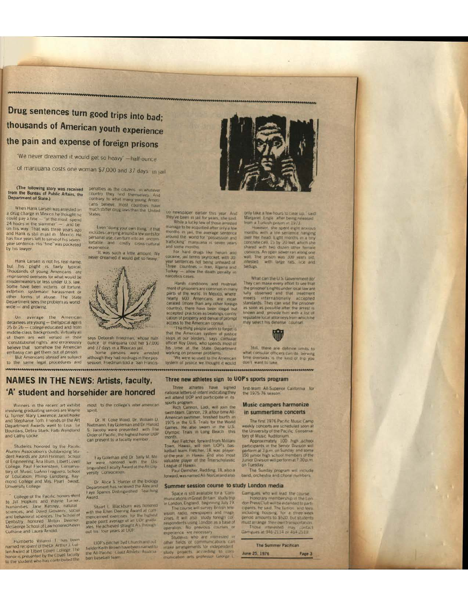Drug sentences turn good trips into bad; thousands of American youth experience the pain and expense of foreign prisons

'We never dreamed it would get so heavy' -half ounce

of marijuana costs one woman \$7,000 and 37 days in jail.

### (The following story was received<br>from the Bureau of Public Affairs, the **Department of State.)**

When Hank Larsen was arrested on a drug charge in Mexico he thought he a bout could pay a line - "at the most spend<br>24 hours in the stammer" - and be<br>on his way. That was three years ago<br>and Hank is still in jail in Mexico. He<br>has four years left to serve of his sevenvear sentence. His "fine" was pocketed by his lawyer.

Hank Larsen is not his real name. but his plight is tartly typical.<br>Thousands of young Americans are<br>imprisoned overseas for what would be misdemeanors or less under U.S. law Some have been victims of torture, extortion, systematic harassment or forms of abuse. The State Department sees the problem as world wide - and growing.

On average the American detainees are young - the typical age is<br>25 or 26 - college educated and from and the class backgrounds Virtualiyall<br>of them are well versed in their<br>"constitutional rights" and erroneously<br>believe that somehow the American

embassy can get them out of prison.<br>But Americans abroad are subject to the same legal procedures and penalties as the citizens in whatever<br>country they find themselves. And<br>contrary to what many young Amen cans believe, most countries have<br>much stiffer drug laws than the United **States** 

Even "doing your own thing." if that includes carrying around a few joints for<br>personal use, can turn into an uncom-<br>fortable and costly cross-cultural expenence

It was such a little amount. We never dreamed it would get so heavy.



says Deborah Friedman, whose half ounce of manjuaria cost her \$7,000<br>and 37 days in a Mexican jail.

Some persons were arrested<br>although they had no drugs in their pos-<br>session, Friedman told a San Francis-

# **NAMES IN THE NEWS: Artists, faculty,** 'A' student and horsehider are honored

Winners in the recent art exhibit involving graduating seniors are Wayne G. Turner, Mary Lawrence, Janet Korke Department Awards went to Lisa Le<br>Bourdais, Debra Stark, Patti Wendland and Cathy Locke

Students honored by the Pacific Alumni Association's Outstanding Student Awards are John Himman, School of Engineering; Ana Blum, Elbert Covell<br>College, Paul Fleckenstein, Conserva-Conege, Paul Precisional Inguero, School<br>of Education, Philip Lundberg, Ray<br>mond College and Mrs. Pearl. Sweet.<br>University College.

College of the Pacific honors went<br>to Jill Hopkins and Wayne Turner.<br>numanities: Jane Kenney, natural<br>sciences, and David Giovanni, 500an and behavioral sciences. The School of<br>Dentistry - honored - Mitton - Deemer<br>McGeorge School of Law honored Nevin Culhane and Laura Arnold

Humberto Villamil 1, has been Homerto visitor of the Dr. Arthur J. Culture<br>Ten Award at Elbert Covell College. The<br>honor is presented by the Covell taculty to the student who has contributed the

most to the college's inter-american spirit.

Dr. R. Coke Wood, Dr. Wilham D. or is come in a gradient of the Narold<br>S. Jacoby were presented with the<br>Order of Pacific, the highest honor UOP can present to a faculty member

Fay Goleman and Dr. Sally M. Mill let were honored with the Brs versity Convocation

Dr. Alice S. Hunter of the Biology<br>Department has received the Alex and<br>Faye Spanos Distinguished Teaching Award.

Stuart L. Blackburn was honored<br>with the Ellen Deering Award al com<br>mencement exercises for the highest<br>grade portal werage of all COP grade<br>ates, the achieved straight As through<br>out his four years at UOP.

 $\label{eq:QGFS} \begin{array}{c} \text{UGF's pattern byd t function and out} \\ \text{fieder Keith Brown have been named to} \\ \text{the All Factori_C toast Antletic. Asso:} \\ \text{ton baseball team} \end{array}$ 



co newspaper earlier this year. And<br>they've been in jail for years, she said.<br>While a lucky tew of those arrested

manage to be acquitted after only a few<br>months, in just, the average sentence<br>months in just, the average sentence<br>trainformal the world for "possession and<br>tank only margiana is seven years"

and some months.<br>For hard drugs like heroin and<br>cocaine, jail terms skyrocket, with 30<br>year sentiences not being unheard of<br>Turkey — allow the death penalty in<br>Turkey — allow the death penalty in narcotics cases

Harsh conditions and mistreat-<br>ment of prisoners are common in many<br>parts of the world. In Mexico, where<br>nearly 600. Americans are uncar-<br>cerated (more than any other torego<br>country), there have been illegal but<br>accepted p cation of property and demail of prompt<br>access to the American consul

access to the American consult<br>The three people seem to forget is<br>that the American system of justice<br>stops at our borders, "says cortsular<br>officer Roy Davis, who spends most of<br>the three sources to the American<br>working on

system of justice we thought it would

#### Three new athletes sign to UOP's sports program

Three athletes have signed<br>national letters of intent indicating they<br>will attend UOP and participate in its

sports program<br>Rich Cannon, Lodi, will join the<br>swim team. Cannon, 19, a four-time All-Somencan swimmer, finished fourth in<br>1975 in the U.S. Trials for the World<br>Games. He also swam in the U.S.<br>Olympic Trials in Long Beach, this Ken Fletcher, forward from Mitilam

Nown, Hawaii, will rom LIOP's basked<br>Richard Town, Hawaii, will rom LIOP's baskedball team. Fetcher, 18, was player<br>of the year in Hawaii and also most valuable player of the Interscholastic League of Hawaii. Paul Demsher, Redding, 18, also a

forward, was named All-NorCal and also

#### Summer session course to study London media

Space is still available for a "Com-

Space is still available for a "Communications in Great Britain" study trip<br>in London, England, beginning July 19.<br>The course will survey British hele<br>vision, readio, newspapers and magnetic<br>great and magnetic strength co

only take a few hours to clear up." said<br>Margaret. Engle after being released trom a Turkish orison in 1973.

However, she spent eight anoous over her head Light months in a trip<br>concrete cell, (b by 20 leet, which she<br>shared with two dozen other fermale<br>convicts. An open sever ran a dong one<br>wall. The prison was 300 years old,<br>intested with large rats, lice and bedugs.

What can the U.S. Government do-They can make every effort to see that<br>the prisoner's rights under local law are<br>fully observed and that treatment meets internationally accepted<br>standards They can visit the prisoner as soon as possible after the arrest is<br>known and provide him with a list of<br>reputable local attorneys from which he<br>may select fits deterse course!



Still, there are definite limits to<br>what consular officers can do Serving<br>time overseas is the limit of trip you don't want to take

,,,,,,,,,,,,,,,,,,,,,,,,,,,,,,,,,,, ....................................

> first-team All-Superior California. for the 1975-76 season

#### **Music campers harmonize** in summertime concerts

The first 1976 Pacific Music Camp

The first 1976 Pacific Music Camp<br>weekly concerts are scheduled soon at<br>the University of the Pacific Conserva-<br>tory of Music Audrotium.<br>Approximately 100 mgh achool<br>participants in the Senior Division will<br>perform at 3 p. on Tuesday.

The Sunday program will include<br>band, orchestra and choral numbers

Garrigues, who will lead, the course Honorary membership in the Lon-<br>toom Press Club will be extended to part-<br>capants, he said. The Lunion and tees<br>including - bosons, for a - three week<br>period amounts to \$520, but students

must arrange their own transportation<br>Those interested in a contact<br>Garrigues at 946-2114 or 464-2519

The Summer Pacifican

June 25, 1976 Page 3